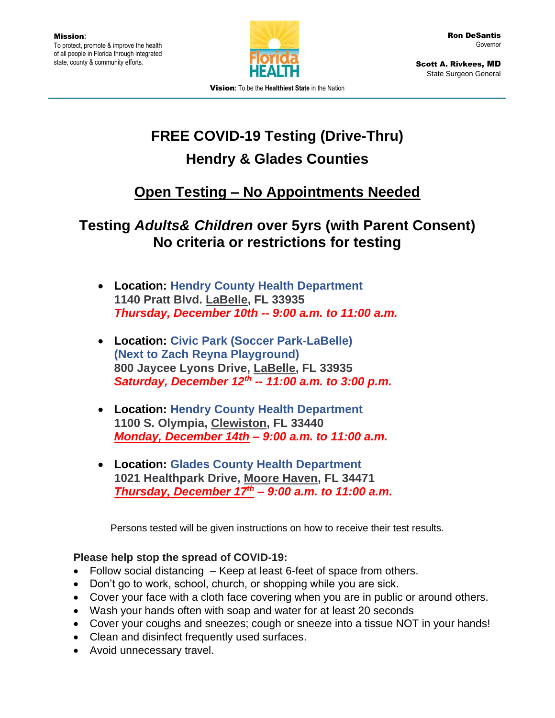

Scott A. Rivkees, MD State Surgeon General

Vision**:** To be the **Healthiest State** in the Nation

## **FREE COVID-19 Testing (Drive-Thru) Hendry & Glades Counties**

## **Open Testing – No Appointments Needed**

## **Testing** *Adults& Children* **over 5yrs (with Parent Consent) No criteria or restrictions for testing**

- **Location: Hendry County Health Department 1140 Pratt Blvd. LaBelle, FL 33935** *Thursday, December 10th -- 9:00 a.m. to 11:00 a.m.*
- **Location: Civic Park (Soccer Park-LaBelle) (Next to Zach Reyna Playground) 800 Jaycee Lyons Drive, LaBelle, FL 33935** *Saturday, December 12th -- 11:00 a.m. to 3:00 p.m.*
- **Location: Hendry County Health Department 1100 S. Olympia, Clewiston, FL 33440** *Monday, December 14th – 9:00 a.m. to 11:00 a.m.*
- **Location: Glades County Health Department 1021 Healthpark Drive, Moore Haven, FL 34471** *Thursday, December 17 th – 9:00 a.m. to 11:00 a.m.*

Persons tested will be given instructions on how to receive their test results.

## **Please help stop the spread of COVID-19:**

- Follow social distancing Keep at least 6-feet of space from others.
- Don't go to work, school, church, or shopping while you are sick.
- Cover your face with a cloth face covering when you are in public or around others.
- Wash your hands often with soap and water for at least 20 seconds
- Cover your coughs and sneezes; cough or sneeze into a tissue NOT in your hands!
- Clean and disinfect frequently used surfaces.
- Avoid unnecessary travel.